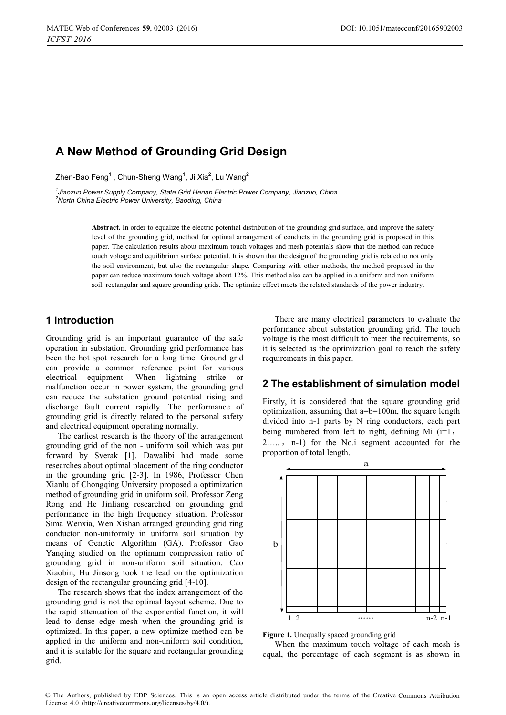# **A New Method of Grounding Grid Design**

Zhen-Bao Feng ,Chun-Sheng Wang,Ji Xia,Lu Wang

*1 Jiaozuo Power Supply Company, State Grid Henan Electric Power Company, Jiaozuo, China 2 North China Electric Power University, Baoding, China* 

> **Abstract.** In order to equalize the electric potential distribution of the grounding grid surface, and improve the safety level of the grounding grid, method for optimal arrangement of conducts in the grounding grid is proposed in this paper. The calculation results about maximum touch voltages and mesh potentials show that the method can reduce touch voltage and equilibrium surface potential. It is shown that the design of the grounding grid is related to not only the soil environment, but also the rectangular shape. Comparing with other methods, the method proposed in the paper can reduce maximum touch voltage about 12%. This method also can be applied in a uniform and non-uniform soil, rectangular and square grounding grids. The optimize effect meets the related standards of the power industry.

## **1 Introduction**

Grounding grid is an important guarantee of the safe operation in substation. Grounding grid performance has been the hot spot research for a long time. Ground grid can provide a common reference point for various electrical equipment. When lightning strike or malfunction occur in power system, the grounding grid can reduce the substation ground potential rising and discharge fault current rapidly. The performance of grounding grid is directly related to the personal safety and electrical equipment operating normally.

The earliest research is the theory of the arrangement grounding grid of the non - uniform soil which was put forward by Sverak [1]. Dawalibi had made some researches about optimal placement of the ring conductor in the grounding grid [2-3]. In 1986, Professor Chen Xianlu of Chongqing University proposed a optimization method of grounding grid in uniform soil. Professor Zeng Rong and He Jinliang researched on grounding grid performance in the high frequency situation. Professor Sima Wenxia, Wen Xishan arranged grounding grid ring conductor non-uniformly in uniform soil situation by means of Genetic Algorithm (GA). Professor Gao Yanqing studied on the optimum compression ratio of grounding grid in non-uniform soil situation. Cao Xiaobin, Hu Jinsong took the lead on the optimization design of the rectangular grounding grid [4-10].

The research shows that the index arrangement of the grounding grid is not the optimal layout scheme. Due to the rapid attenuation of the exponential function, it will lead to dense edge mesh when the grounding grid is optimized. In this paper, a new optimize method can be applied in the uniform and non-uniform soil condition, and it is suitable for the square and rectangular grounding grid.

There are many electrical parameters to evaluate the performance about substation grounding grid. The touch voltage is the most difficult to meet the requirements, so it is selected as the optimization goal to reach the safety requirements in this paper.

## **2 The establishment of simulation model**

Firstly, it is considered that the square grounding grid optimization, assuming that a=b=100m, the square length divided into n-1 parts by N ring conductors, each part being numbered from left to right, defining Mi  $(i=1,$  $2...$ ,  $n-1$ ) for the No.i segment accounted for the proportion of total length.



**Figure 1.** Unequally spaced grounding grid

When the maximum touch voltage of each mesh is equal, the percentage of each segment is as shown in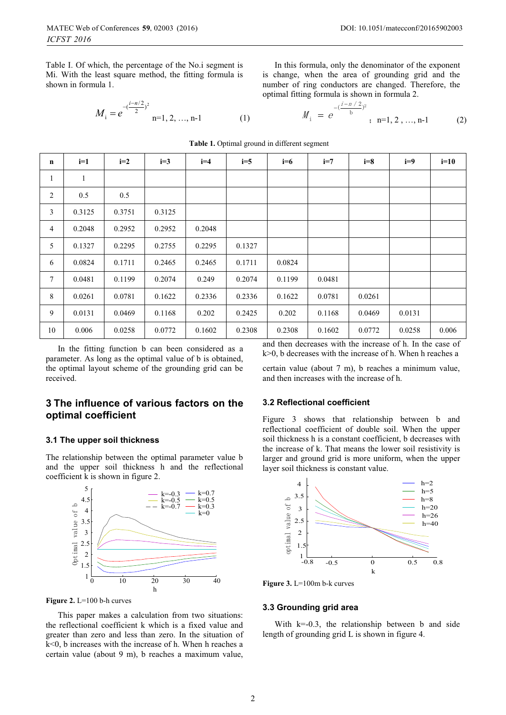Table I. Of which, the percentage of the No.i segment is Mi. With the least square method, the fitting formula is shown in formula 1.

$$
M_{i} = e^{-\frac{(i-n/2)}{2})^{2}}
$$
 n=1, 2, ..., n-1 (1)

In this formula, only the denominator of the exponent is change, when the area of grounding grid and the number of ring conductors are changed. Therefore, the optimal fitting formula is shown in formula 2.

$$
M_{i} = e^{-\left(\frac{i-n/2}{b}\right)^{2}}; \quad n=1, 2, ..., n-1 \tag{2}
$$

**Table 1.** Optimal ground in different segment

| $\mathbf n$  | $i=1$  | $i=2$  | $i=3$  | $i=4$  | $i=5$  | $i=6$  | $i=7$  | $i=8$  | $i=9$  | $i=10$ |
|--------------|--------|--------|--------|--------|--------|--------|--------|--------|--------|--------|
| $\mathbf{1}$ | 1      |        |        |        |        |        |        |        |        |        |
| 2            | 0.5    | 0.5    |        |        |        |        |        |        |        |        |
| 3            | 0.3125 | 0.3751 | 0.3125 |        |        |        |        |        |        |        |
| 4            | 0.2048 | 0.2952 | 0.2952 | 0.2048 |        |        |        |        |        |        |
| 5            | 0.1327 | 0.2295 | 0.2755 | 0.2295 | 0.1327 |        |        |        |        |        |
| 6            | 0.0824 | 0.1711 | 0.2465 | 0.2465 | 0.1711 | 0.0824 |        |        |        |        |
| 7            | 0.0481 | 0.1199 | 0.2074 | 0.249  | 0.2074 | 0.1199 | 0.0481 |        |        |        |
| 8            | 0.0261 | 0.0781 | 0.1622 | 0.2336 | 0.2336 | 0.1622 | 0.0781 | 0.0261 |        |        |
| 9            | 0.0131 | 0.0469 | 0.1168 | 0.202  | 0.2425 | 0.202  | 0.1168 | 0.0469 | 0.0131 |        |
| 10           | 0.006  | 0.0258 | 0.0772 | 0.1602 | 0.2308 | 0.2308 | 0.1602 | 0.0772 | 0.0258 | 0.006  |

In the fitting function b can been considered as a parameter. As long as the optimal value of b is obtained, the optimal layout scheme of the grounding grid can be received.

## **3 The influence of various factors on the optimal coefficient**

#### **3.1 The upper soil thickness**

The relationship between the optimal parameter value b and the upper soil thickness h and the reflectional coefficient k is shown in figure 2.





This paper makes a calculation from two situations: the reflectional coefficient k which is a fixed value and greater than zero and less than zero. In the situation of k<0, b increases with the increase of h. When h reaches a certain value (about 9 m), b reaches a maximum value,

and then decreases with the increase of h. In the case of k>0, b decreases with the increase of h. When h reaches a

certain value (about 7 m), b reaches a minimum value, and then increases with the increase of h.

#### **3.2 Reflectional coefficient**

Figure 3 shows that relationship between b and reflectional coefficient of double soil. When the upper soil thickness h is a constant coefficient, b decreases with the increase of k. That means the lower soil resistivity is larger and ground grid is more uniform, when the upper layer soil thickness is constant value.



**Figure 3.** L=100m b-k curves

### **3.3 Grounding grid area**

With  $k=0.3$ , the relationship between b and side length of grounding grid L is shown in figure 4.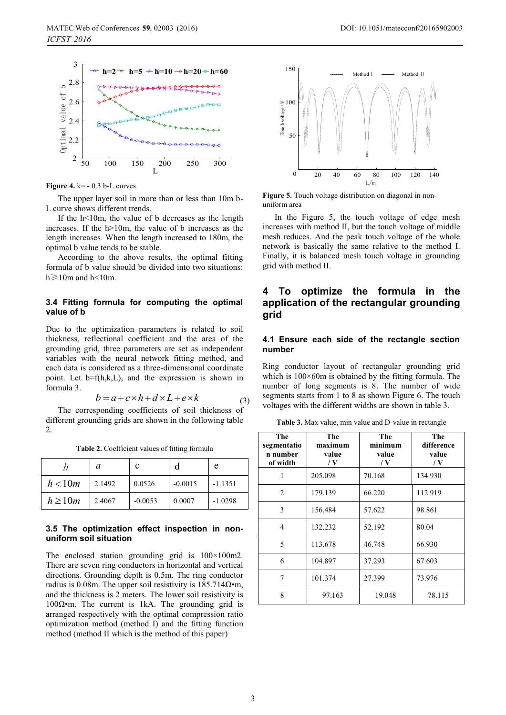

**Figure 4.** k= - 0.3 b-L curves

The upper layer soil in more than or less than 10m b-L curve shows different trends.

If the h<10m, the value of b decreases as the length increases. If the h>10m, the value of b increases as the length increases. When the length increased to 180m, the optimal b value tends to be stable.

According to the above results, the optimal fitting formula of b value should be divided into two situations:  $h \ge 10$ m and  $h$ <10m.

### **3.4 Fitting formula for computing the optimal value of b**

Due to the optimization parameters is related to soil thickness, reflectional coefficient and the area of the grounding grid, three parameters are set as independent variables with the neural network fitting method, and each data is considered as a three-dimensional coordinate point. Let b=f(h,k,L), and the expression is shown in formula 3.

$$
b = a + c \times h + d \times L + e \times k \tag{3}
$$

The corresponding coefficients of soil thickness of different grounding grids are shown in the following table 2.

**Table 2.** Coefficient values of fitting formula

|             | a      | c         |           | e         |
|-------------|--------|-----------|-----------|-----------|
| h < 10m     | 2.1492 | 0.0526    | $-0.0015$ | $-1.1351$ |
| $h \ge 10m$ | 2.4067 | $-0.0053$ | 0.0007    | $-1.0298$ |

#### **3.5 The optimization effect inspection in nonuniform soil situation**

The enclosed station grounding grid is 100×100m2. There are seven ring conductors in horizontal and vertical directions. Grounding depth is 0.5m. The ring conductor radius is 0.08m. The upper soil resistivity is  $185.714\Omega \cdot m$ , and the thickness is 2 meters. The lower soil resistivity is 100 $Ω$ •m. The current is 1kA. The grounding grid is arranged respectively with the optimal compression ratio optimization method (method I) and the fitting function method (method II which is the method of this paper)



**Figure 5.** Touch voltage distribution on diagonal in nonuniform area

In the Figure 5, the touch voltage of edge mesh increases with method II, but the touch voltage of middle mesh reduces. And the peak touch voltage of the whole network is basically the same relative to the method I. Finally, it is balanced mesh touch voltage in grounding grid with method II.

## **4 To optimize the formula in the application of the rectangular grounding grid**

### **4.1 Ensure each side of the rectangle section number**

Ring conductor layout of rectangular grounding grid which is  $100\times60$ m is obtained by the fitting formula. The number of long segments is 8. The number of wide segments starts from 1 to 8 as shown Figure 6. The touch voltages with the different widths are shown in table 3.

**Table 3.** Max value, min value and D-value in rectangle

| The<br>segmentatio<br>n number<br>of width | The<br>maximum<br>value<br>$\sqrt{V}$ | The<br>minimum<br>value<br>/ $\bf{V}$ | The<br>difference<br>value<br>$\sqrt{V}$ |
|--------------------------------------------|---------------------------------------|---------------------------------------|------------------------------------------|
| 1                                          | 205.098                               | 70.168                                | 134.930                                  |
| $\mathfrak{D}$                             | 179.139                               | 66.220                                | 112.919                                  |
| 3                                          | 156.484                               | 57.622                                | 98.861                                   |
| 4                                          | 132.232                               | 52.192                                | 80.04                                    |
| 5                                          | 113.678                               | 46.748                                | 66.930                                   |
| 6                                          | 104.897                               | 37.293                                | 67.603                                   |
| 7                                          | 101.374                               | 27.399                                | 73.976                                   |
| 8                                          | 97.163                                | 19.048                                | 78.115                                   |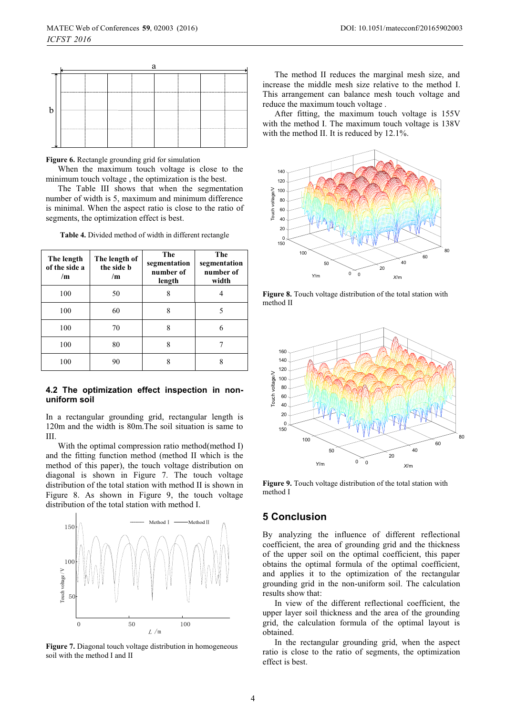|   | а |  |  |  |  |  |  |  |
|---|---|--|--|--|--|--|--|--|
| r |   |  |  |  |  |  |  |  |
|   |   |  |  |  |  |  |  |  |
|   |   |  |  |  |  |  |  |  |
|   |   |  |  |  |  |  |  |  |

**Figure 6.** Rectangle grounding grid for simulation

When the maximum touch voltage is close to the minimum touch voltage , the optimization is the best.

The Table III shows that when the segmentation number of width is 5, maximum and minimum difference is minimal. When the aspect ratio is close to the ratio of segments, the optimization effect is best.

**Table 4.** Divided method of width in different rectangle

| The length<br>of the side a<br>/m | The length of<br>the side b<br>/m | <b>The</b><br>segmentation<br>number of<br>length | The<br>segmentation<br>number of<br>width |
|-----------------------------------|-----------------------------------|---------------------------------------------------|-------------------------------------------|
| 100                               | 50                                | 8                                                 | 4                                         |
| 100                               | 60                                | 8                                                 | 5                                         |
| 100                               | 70                                | 8                                                 | 6                                         |
| 100                               | 80                                | 8                                                 |                                           |
| 100                               | 90                                | 8                                                 | 8                                         |

### **4.2 The optimization effect inspection in nonuniform soil**

In a rectangular grounding grid, rectangular length is 120m and the width is 80m.The soil situation is same to III.

With the optimal compression ratio method(method I) and the fitting function method (method II which is the method of this paper), the touch voltage distribution on diagonal is shown in Figure 7. The touch voltage distribution of the total station with method II is shown in Figure 8. As shown in Figure 9, the touch voltage distribution of the total station with method I.



**Figure 7.** Diagonal touch voltage distribution in homogeneous soil with the method I and II

The method II reduces the marginal mesh size, and increase the middle mesh size relative to the method I. This arrangement can balance mesh touch voltage and reduce the maximum touch voltage .

After fitting, the maximum touch voltage is 155V with the method I. The maximum touch voltage is 138V with the method II. It is reduced by 12.1%.



**Figure 8.** Touch voltage distribution of the total station with method II



**Figure 9.** Touch voltage distribution of the total station with method I

## **5 Conclusion**

By analyzing the influence of different reflectional coefficient, the area of grounding grid and the thickness of the upper soil on the optimal coefficient, this paper obtains the optimal formula of the optimal coefficient, and applies it to the optimization of the rectangular grounding grid in the non-uniform soil. The calculation results show that:

In view of the different reflectional coefficient, the upper layer soil thickness and the area of the grounding grid, the calculation formula of the optimal layout is obtained.

In the rectangular grounding grid, when the aspect ratio is close to the ratio of segments, the optimization effect is best.